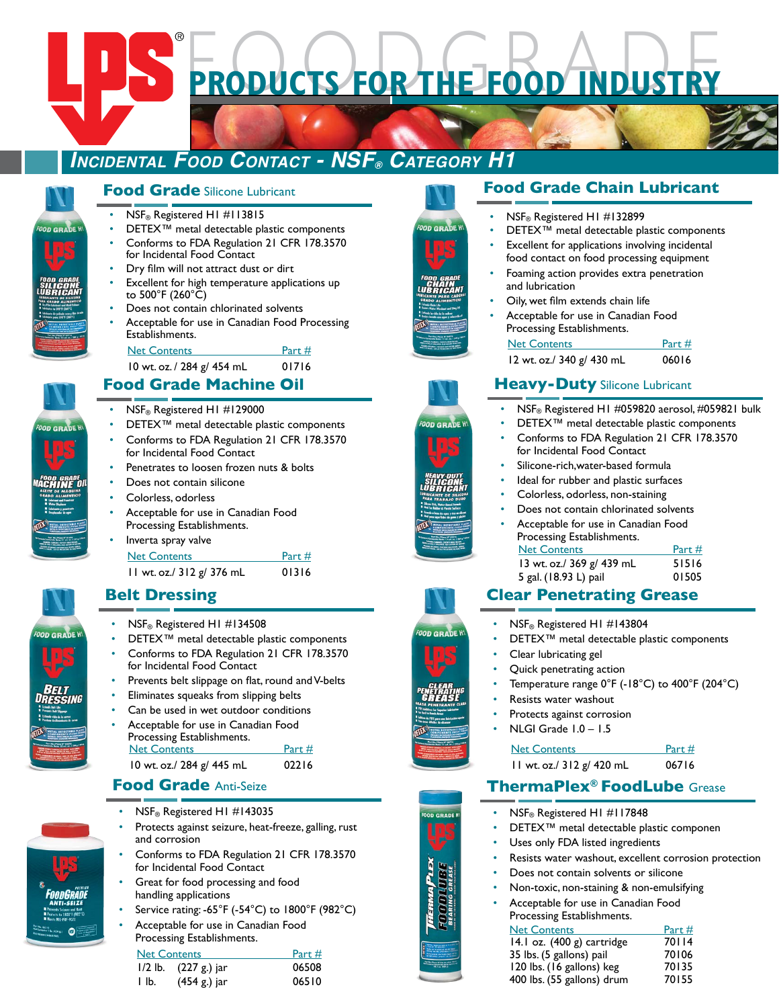# PRODUCTS FOR THE FOOD INDUSTRY

## *Incidental Food Contact - NSF® Category H1*

#### **Food Grade** Silicone Lubricant

- NSF<sub>®</sub> Registered H1 #113815
- DETEX™ metal detectable plastic components
- Conforms to FDA Regulation 21 CFR 178.3570 for Incidental Food Contact
- Dry film will not attract dust or dirt
- Excellent for high temperature applications up
- to 500°F (260°C)
- Does not contain chlorinated solvents
- Acceptable for use in Canadian Food Processing Establishments.

#### Net Contents Part # 10 wt. oz. / 284 g/ 454 mL 01716

### **Food Grade Machine Oil**

- NSF<sub>®</sub> Registered H1 #129000
- DETEX<sup>™</sup> metal detectable plastic components
- Conforms to FDA Regulation 21 CFR 178.3570 for Incidental Food Contact
- Penetrates to loosen frozen nuts & bolts
- Does not contain silicone
- Colorless, odorless
- Acceptable for use in Canadian Food Processing Establishments.
- Inverta spray valve

| <b>Net Contents</b>       | Part # |
|---------------------------|--------|
| 11 wt. oz./ 312 g/ 376 mL | 01316  |

## **Belt Dressing**

- NSF<sub>®</sub> Registered H1 #134508
- DETEX™ metal detectable plastic components
- Conforms to FDA Regulation 21 CFR 178.3570 for Incidental Food Contact
- Prevents belt slippage on flat, round and V-belts
- Eliminates squeaks from slipping belts
- Can be used in wet outdoor conditions
- Acceptable for use in Canadian Food Processing Establishments. Net Contents Part #

10 wt. oz./ 284 g/ 445 mL 02216

### **Food Grade** Anti-Seize

- NSF<sub>®</sub> Registered H1 #143035
- Protects against seizure, heat-freeze, galling, rust and corrosion
- Conforms to FDA Regulation 21 CFR 178.3570 for Incidental Food Contact
- Great for food processing and food handling applications
- Service rating: -65°F (-54°C) to 1800°F (982°C)
- Acceptable for use in Canadian Food Processing Establishments.

#### Net Contents Part #

| ו זכו רחוורווני |                          | $1$ all $\pi$ |
|-----------------|--------------------------|---------------|
|                 | $1/2$ lb. $(227 g.)$ jar | 06508         |
| IIb.            | (454 g.) jar             | 06510         |

## **Food Grade Chain Lubricant**

- NSF<sub>®</sub> Registered H1 #132899
- DETEX™ metal detectable plastic components
- Excellent for applications involving incidental food contact on food processing equipment
	- Foaming action provides extra penetration and lubrication
- Oily, wet film extends chain life
- Acceptable for use in Canadian Food Processing Establishments.

| <b>Net Contents</b>       | Part $#$ |
|---------------------------|----------|
| 12 wt. oz./ 340 g/ 430 mL | 06016    |

#### **Heavy-Duty** Silicone Lubricant

- NSF® Registered H1 #059820 aerosol, #059821 bulk
- DETEX™ metal detectable plastic components
- Conforms to FDA Regulation 21 CFR 178.3570 for Incidental Food Contact
- Silicone-rich, water-based formula
- Ideal for rubber and plastic surfaces
- Colorless, odorless, non-staining
- Does not contain chlorinated solvents
- Acceptable for use in Canadian Food Processing Establishments. Net Contents Part # 13 wt. oz./ 369 g/ 439 mL 51516

#### **Clear Penetrating Grease** 5 gal. (18.93 L) pail 01505

- NSF<sub>®</sub> Registered H1 #143804
	- DETEX™ metal detectable plastic components
	- Clear lubricating gel
- Quick penetrating action
- Temperature range  $0^{\circ}F$  (-18 $^{\circ}C$ ) to 400 $^{\circ}F$  (204 $^{\circ}C$ )
- Resists water washout
- Protects against corrosion
- NLGI Grade 1.0 1.5

| <b>Net Contents</b>       | Part $#$ |
|---------------------------|----------|
| 11 wt. oz./ 312 g/ 420 mL | 06716    |

## **ThermaPlex® FoodLube** Grease

- NSF<sub>®</sub> Registered H1 #117848
- DETEX™ metal detectable plastic componen
- Uses only FDA listed ingredients
- Resists water washout, excellent corrosion protection
- Does not contain solvents or silicone
- Non-toxic, non-staining & non-emulsifying
- Acceptable for use in Canadian Food Processing Establishments.

| <b>Net Contents</b>          | Part $#$ |
|------------------------------|----------|
| 14.1 oz. $(400 g)$ cartridge | 70114    |
| 35 lbs. (5 gallons) pail     | 70106    |
| 120 lbs. (16 gallons) keg    | 70135    |
| 400 lbs. (55 gallons) drum   | 70155    |
|                              |          |